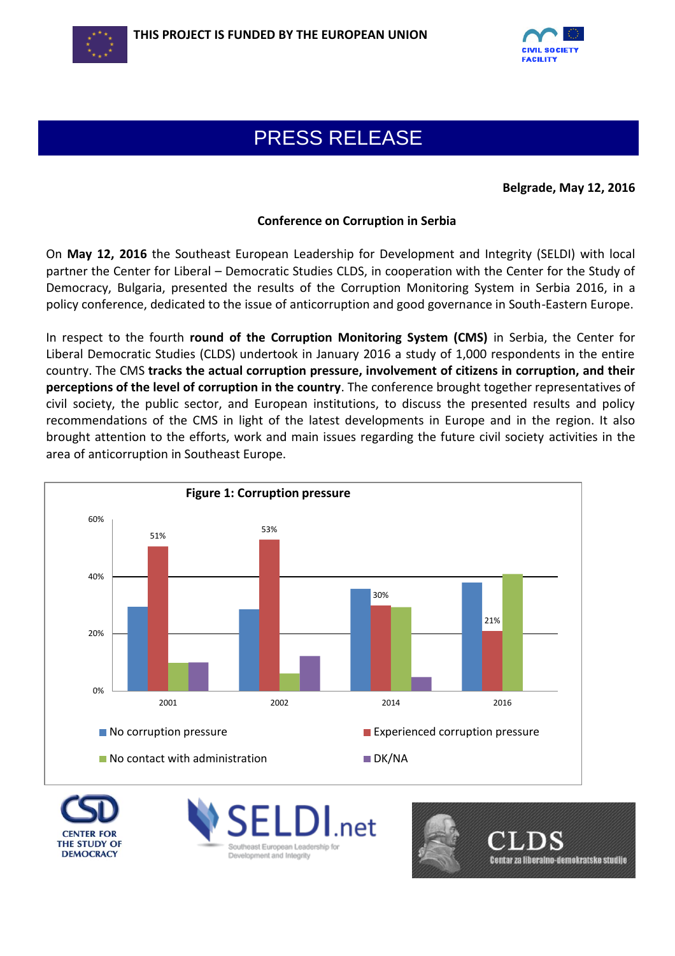



## PRESS RELEASE

**Belgrade, May 12, 2016**

## **Conference on Corruption in Serbia**

On **May 12, 2016** the Southeast European Leadership for Development and Integrity (SELDI) with local partner the Center for Liberal – Democratic Studies CLDS, in cooperation with the Center for the Study of Democracy, Bulgaria, presented the results of the Corruption Monitoring System in Serbia 2016, in a policy conference, dedicated to the issue of anticorruption and good governance in South-Eastern Europe.

In respect to the fourth **round of the Corruption Monitoring System (CMS)** in Serbia, the Center for Liberal Democratic Studies (CLDS) undertook in January 2016 a study of 1,000 respondents in the entire country. The CMS **tracks the actual corruption pressure, involvement of citizens in corruption, and their perceptions of the level of corruption in the country**. The conference brought together representatives of civil society, the public sector, and European institutions, to discuss the presented results and policy recommendations of the CMS in light of the latest developments in Europe and in the region. It also brought attention to the efforts, work and main issues regarding the future civil society activities in the area of anticorruption in Southeast Europe.



**THE STUDY OF DEMOCRACY**